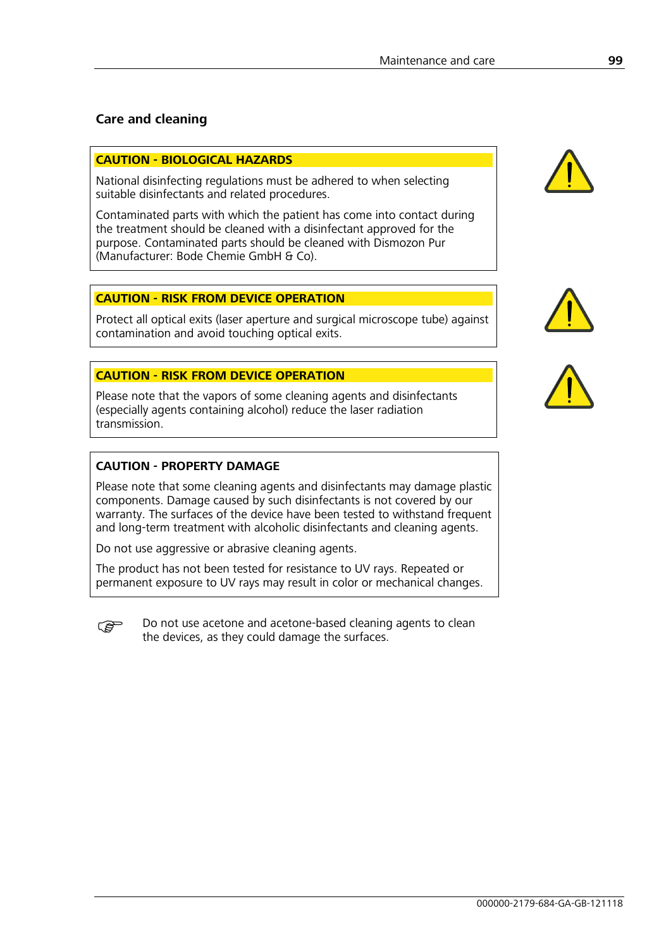## **Care and cleaning**

#### **CAUTION - BIOLOGICAL HAZARDS**

National disinfecting regulations must be adhered to when selecting suitable disinfectants and related procedures.

Contaminated parts with which the patient has come into contact during the treatment should be cleaned with a disinfectant approved for the purpose. Contaminated parts should be cleaned with Dismozon Pur (Manufacturer: Bode Chemie GmbH & Co).

#### **CAUTION - RISK FROM DEVICE OPERATION**

Protect all optical exits (laser aperture and surgical microscope tube) against contamination and avoid touching optical exits.

#### **CAUTION - RISK FROM DEVICE OPERATION**

Please note that the vapors of some cleaning agents and disinfectants (especially agents containing alcohol) reduce the laser radiation transmission.

## **CAUTION - PROPERTY DAMAGE**

Please note that some cleaning agents and disinfectants may damage plastic components. Damage caused by such disinfectants is not covered by our warranty. The surfaces of the device have been tested to withstand frequent and long-term treatment with alcoholic disinfectants and cleaning agents.

Do not use aggressive or abrasive cleaning agents.

The product has not been tested for resistance to UV rays. Repeated or permanent exposure to UV rays may result in color or mechanical changes.

**Do not use acetone and acetone-based cleaning agents to clean** the devices, as they could damage the surfaces.





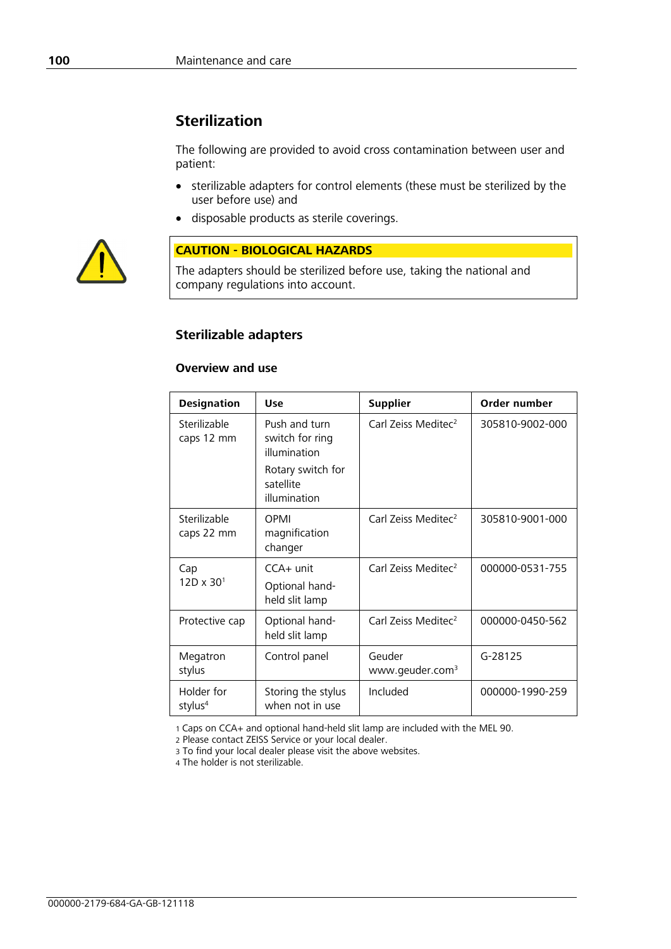# **Sterilization**

The following are provided to avoid cross contamination between user and patient:

- sterilizable adapters for control elements (these must be sterilized by the user before use) and
- disposable products as sterile coverings.



#### **CAUTION - BIOLOGICAL HAZARDS**

The adapters should be sterilized before use, taking the national and company regulations into account.

## **Sterilizable adapters**

## **Overview and use**

| <b>Designation</b>                | <b>Use</b>                                       | <b>Supplier</b>                       | Order number    |
|-----------------------------------|--------------------------------------------------|---------------------------------------|-----------------|
| Sterilizable<br>caps 12 mm        | Push and turn<br>switch for ring<br>illumination | Carl Zeiss Meditec <sup>2</sup>       | 305810-9002-000 |
|                                   | Rotary switch for<br>satellite<br>illumination   |                                       |                 |
| Sterilizable<br>caps 22 mm        | OPMI<br>magnification<br>changer                 | Carl Zeiss Meditec <sup>2</sup>       | 305810-9001-000 |
| Cap<br>$12D \times 30^{1}$        | $CCA+$ unit                                      | Carl Zeiss Meditec <sup>2</sup>       | 000000-0531-755 |
|                                   | Optional hand-<br>held slit lamp                 |                                       |                 |
| Protective cap                    | Optional hand-<br>held slit lamp                 | Carl Zeiss Meditec <sup>2</sup>       | 000000-0450-562 |
| Megatron<br>stylus                | Control panel                                    | Geuder<br>www.geuder.com <sup>3</sup> | G-28125         |
| Holder for<br>stylus <sup>4</sup> | Storing the stylus<br>when not in use            | Included                              | 000000-1990-259 |

1 Caps on CCA+ and optional hand-held slit lamp are included with the MEL 90.

2 Please contact ZEISS Service or your local dealer.

3 To find your local dealer please visit the above websites.

4 The holder is not sterilizable.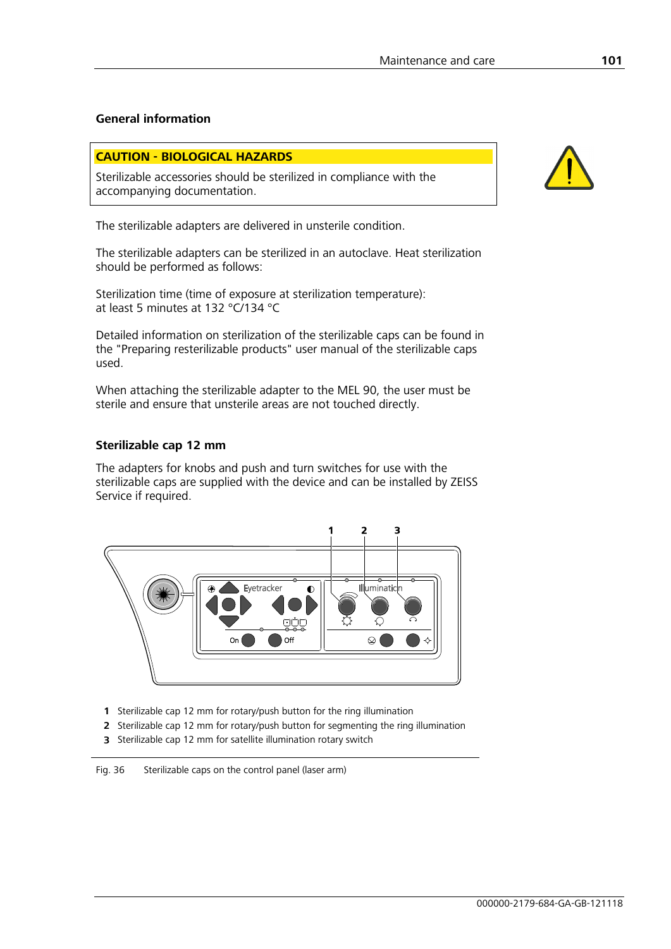## **General information**

#### **CAUTION - BIOLOGICAL HAZARDS**

Sterilizable accessories should be sterilized in compliance with the accompanying documentation.

The sterilizable adapters are delivered in unsterile condition.

The sterilizable adapters can be sterilized in an autoclave. Heat sterilization should be performed as follows:

Sterilization time (time of exposure at sterilization temperature): at least 5 minutes at 132 °C/134 °C

Detailed information on sterilization of the sterilizable caps can be found in the "Preparing resterilizable products" user manual of the sterilizable caps used.

When attaching the sterilizable adapter to the MEL 90, the user must be sterile and ensure that unsterile areas are not touched directly.

#### **Sterilizable cap 12 mm**

The adapters for knobs and push and turn switches for use with the sterilizable caps are supplied with the device and can be installed by ZEISS Service if required.



- **1** Sterilizable cap 12 mm for rotary/push button for the ring illumination
- **2** Sterilizable cap 12 mm for rotary/push button for segmenting the ring illumination
- **3** Sterilizable cap 12 mm for satellite illumination rotary switch

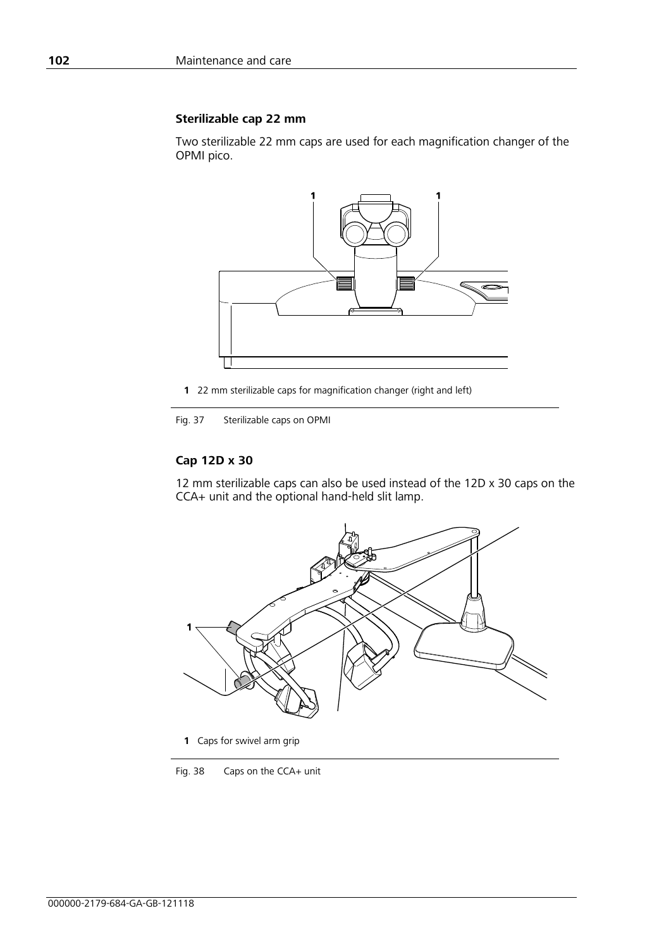#### **Sterilizable cap 22 mm**

Two sterilizable 22 mm caps are used for each magnification changer of the OPMI pico.



**1** 22 mm sterilizable caps for magnification changer (right and left)

Fig. 37 Sterilizable caps on OPMI

#### **Cap 12D x 30**

12 mm sterilizable caps can also be used instead of the 12D x 30 caps on the CCA+ unit and the optional hand-held slit lamp.



**1** Caps for swivel arm grip

Fig. 38 Caps on the CCA+ unit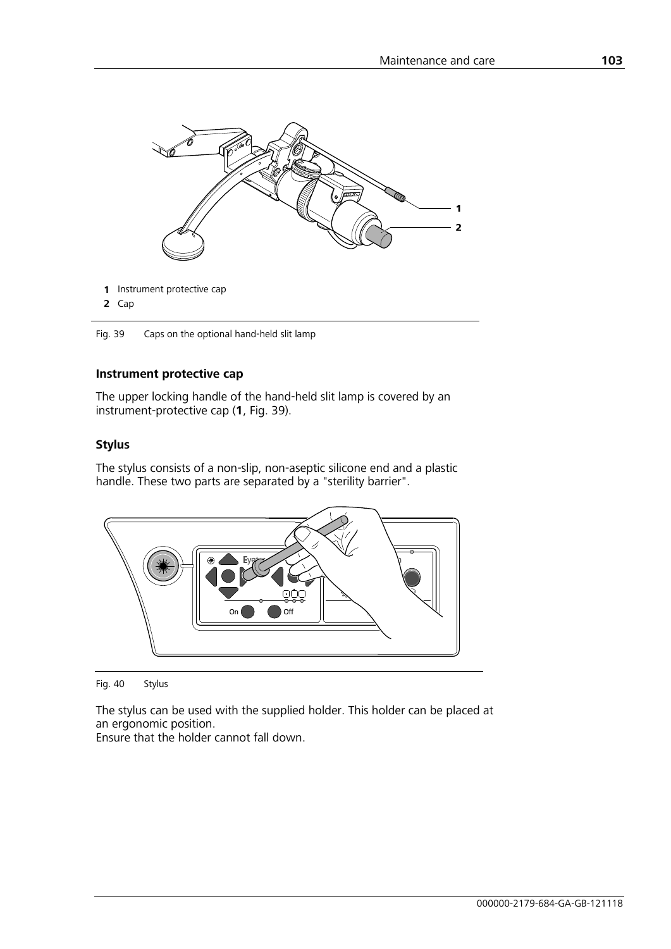

<span id="page-4-0"></span>Fig. 39 Caps on the optional hand-held slit lamp

## **Instrument protective cap**

The upper locking handle of the hand-held slit lamp is covered by an instrument-protective cap (**1**, [Fig.](#page-4-0) 39).

#### **Stylus**

The stylus consists of a non-slip, non-aseptic silicone end and a plastic handle. These two parts are separated by a "sterility barrier".



Fig. 40 Stylus

The stylus can be used with the supplied holder. This holder can be placed at an ergonomic position.

Ensure that the holder cannot fall down.